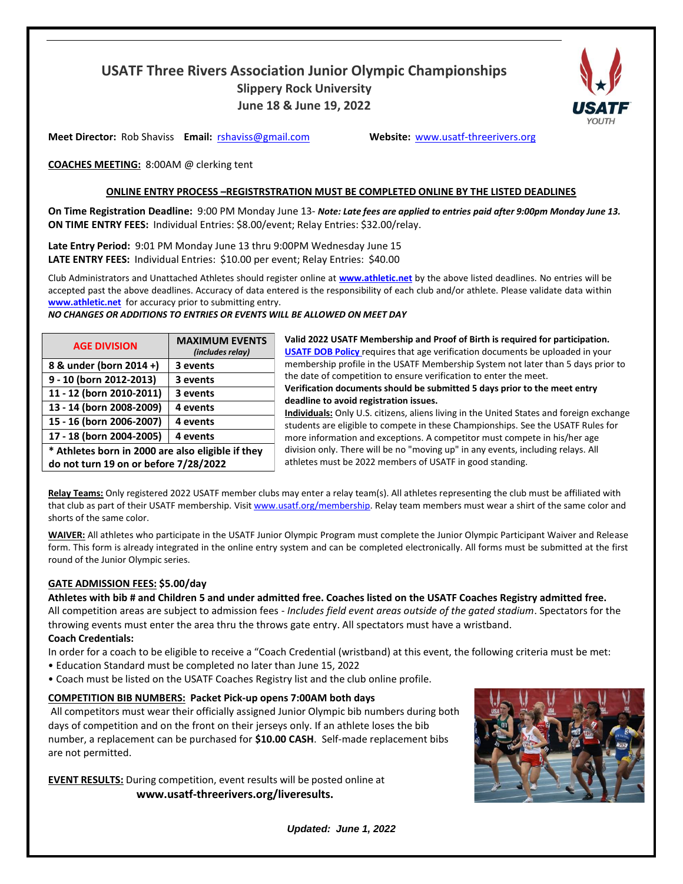# **USATF Three Rivers Association Junior Olympic Championships Slippery Rock University June 18 & June 19, 2022**



**Meet Director:** Rob Shaviss **Email:** rshaviss@gmail.com **Website:** [www.usatf-threerivers.org](about:blank)

**COACHES MEETING:** 8:00AM @ clerking tent

## **ONLINE ENTRY PROCESS –REGISTRSTRATION MUST BE COMPLETED ONLINE BY THE LISTED DEADLINES**

On Time Registration Deadline: 9:00 PM Monday June 13- Note: Late fees are applied to entries paid after 9:00pm Monday June 13. **ON TIME ENTRY FEES:** Individual Entries: \$8.00/event; Relay Entries: \$32.00/relay.

**Late Entry Period:** 9:01 PM Monday June 13 thru 9:00PM Wednesday June 15 **LATE ENTRY FEES:** Individual Entries: \$10.00 per event; Relay Entries: \$40.00

Club Administrators and Unattached Athletes should register online at **[www.athletic.net](about:blank)** by the above listed deadlines. No entries will be accepted past the above deadlines. Accuracy of data entered is the responsibility of each club and/or athlete. Please validate data within **[www.athletic.net](about:blank)** for accuracy prior to submitting entry.

*NO CHANGES OR ADDITIONS TO ENTRIES OR EVENTS WILL BE ALLOWED ON MEET DAY*

| <b>AGE DIVISION</b>                               | <b>MAXIMUM EVENTS</b><br>(includes relay) |  |  |  |  |  |
|---------------------------------------------------|-------------------------------------------|--|--|--|--|--|
| 8 & under (born 2014 +)                           | 3 events                                  |  |  |  |  |  |
| 9 - 10 (born 2012-2013)                           | 3 events                                  |  |  |  |  |  |
| 11 - 12 (born 2010-2011)                          | 3 events                                  |  |  |  |  |  |
| 13 - 14 (born 2008-2009)                          | 4 events                                  |  |  |  |  |  |
| 15 - 16 (born 2006-2007)                          | 4 events                                  |  |  |  |  |  |
| 17 - 18 (born 2004-2005)                          | 4 events                                  |  |  |  |  |  |
| * Athletes born in 2000 are also eligible if they |                                           |  |  |  |  |  |

**Valid 2022 USATF Membership and Proof of Birth is required for participation. [USATF DOB Policy](about:blank#:~:text=USATF%20National%20Championships%20require%20that,competitions%20that%20require%20birthdate%20verification.)** requires that age verification documents be uploaded in your membership profile in the USATF Membership System not later than 5 days prior to the date of competition to ensure verification to enter the meet. **Verification documents should be submitted 5 days prior to the meet entry deadline to avoid registration issues.**

**Individuals:** Only U.S. citizens, aliens living in the United States and foreign exchange students are eligible to compete in these Championships. See the USATF Rules for more information and exceptions. A competitor must compete in his/her age division only. There will be no "moving up" in any events, including relays. All athletes must be 2022 members of USATF in good standing.

**Relay Teams:** Only registered 2022 USATF member clubs may enter a relay team(s). All athletes representing the club must be affiliated with that club as part of their USATF membership. Visit [www.usatf.org/membership.](about:blank) Relay team members must wear a shirt of the same color and shorts of the same color.

**WAIVER:** All athletes who participate in the USATF Junior Olympic Program must complete the Junior Olympic Participant Waiver and Release form. This form is already integrated in the online entry system and can be completed electronically. All forms must be submitted at the first round of the Junior Olympic series.

## **GATE ADMISSION FEES: \$5.00/day**

**do not turn 19 on or before 7/28/2022**

Athletes with bib # and Children 5 and under admitted free. Coaches listed on the USATF Coaches Registry admitted free. All competition areas are subject to admission fees - *Includes field event areas outside of the gated stadium*. Spectators for the throwing events must enter the area thru the throws gate entry. All spectators must have a wristband.

## **Coach Credentials:**

In order for a coach to be eligible to receive a "Coach Credential (wristband) at this event, the following criteria must be met:

- Education Standard must be completed no later than June 15, 2022
- Coach must be listed on the USATF Coaches Registry list and the club online profile.

# **COMPETITION BIB NUMBERS: Packet Pick-up opens 7:00AM both days**

All competitors must wear their officially assigned Junior Olympic bib numbers during both days of competition and on the front on their jerseys only. If an athlete loses the bib number, a replacement can be purchased for **\$10.00 CASH**. Self-made replacement bibs are not permitted.

**EVENT RESULTS:** During competition, event results will be posted online at **[www.usatf-threerivers.org/liveresults.](about:blank)**



*Updated: June 1, 2022*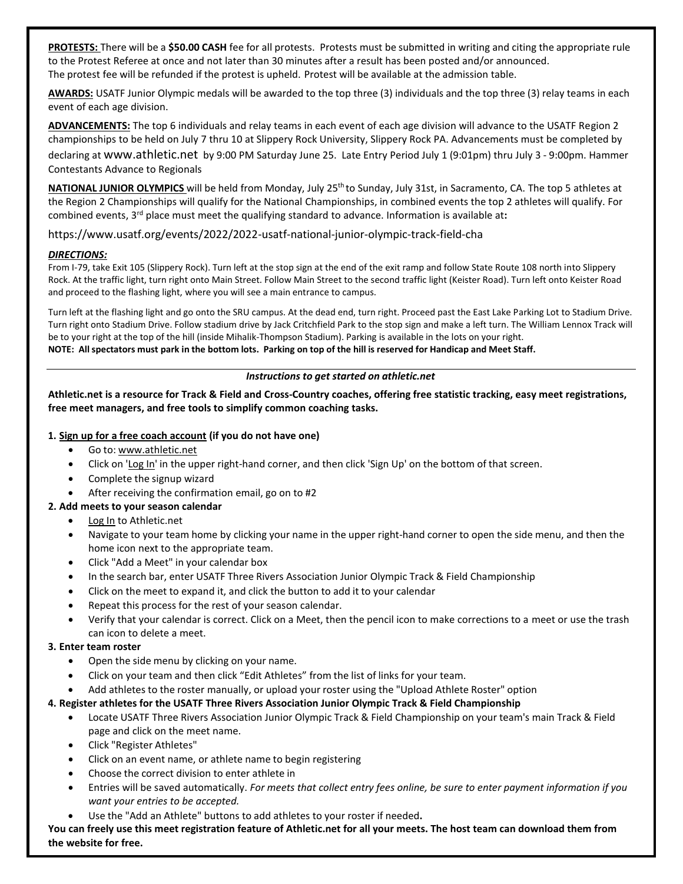**PROTESTS:** There will be a **\$50.00 CASH** fee for all protests. Protests must be submitted in writing and citing the appropriate rule to the Protest Referee at once and not later than 30 minutes after a result has been posted and/or announced. The protest fee will be refunded if the protest is upheld. Protest will be available at the admission table.

**AWARDS:** USATF Junior Olympic medals will be awarded to the top three (3) individuals and the top three (3) relay teams in each event of each age division.

**ADVANCEMENTS:** The top 6 individuals and relay teams in each event of each age division will advance to the USATF Region 2 championships to be held on July 7 thru 10 at Slippery Rock University, Slippery Rock PA. Advancements must be completed by declaring at [www.athletic.net](about:blank) by 9:00 PM Saturday June 25. Late Entry Period July 1 (9:01pm) thru July 3 - 9:00pm. Hammer Contestants Advance to Regionals

**NATIONAL JUNIOR OLYMPICS** will be held from Monday, July 25th to Sunday, July 31st, in Sacramento, CA. The top 5 athletes at the Region 2 Championships will qualify for the National Championships, in combined events the top 2 athletes will qualify. For combined events, 3<sup>rd</sup> place must meet the qualifying standard to advance. Information is available at:

https://www.usatf.org/events/2022/2022-usatf-national-junior-olympic-track-field-cha

#### *DIRECTIONS:*

From I-79, take Exit 105 (Slippery Rock). Turn left at the stop sign at the end of the exit ramp and follow State Route 108 north into Slippery Rock. At the traffic light, turn right onto Main Street. Follow Main Street to the second traffic light (Keister Road). Turn left onto Keister Road and proceed to the flashing light, where you will see a main entrance to campus.

Turn left at the flashing light and go onto the SRU campus. At the dead end, turn right. Proceed past the East Lake Parking Lot to Stadium Drive. Turn right onto Stadium Drive. Follow stadium drive by Jack Critchfield Park to the stop sign and make a left turn. The William Lennox Track will be to your right at the top of the hill (inside Mihalik-Thompson Stadium). Parking is available in the lots on your right. NOTE: All spectators must park in the bottom lots. Parking on top of the hill is reserved for Handicap and Meet Staff.

#### *Instructions to get started on athletic.net*

**Athletic.net is a resource for Track & Field and Cross-Country coaches, offering free statistic tracking, easy meet registrations, free meet managers, and free tools to simplify common coaching tasks.**

#### **1. Sign up for a free coach account (if you do not have one)**

- Go to: [www.athletic.net](about:blank)
- Click on 'Log In' in the upper right-hand corner, and then click 'Sign Up' on the bottom of that screen.
- Complete the signup wizard
- After receiving the confirmation email, go on to #2

## **2. Add meets to your season calendar**

- Log In to Athletic.net
- Navigate to your team home by clicking your name in the upper right-hand corner to open the side menu, and then the home icon next to the appropriate team.
- Click "Add a Meet" in your calendar box
- In the search bar, enter USATF Three Rivers Association Junior Olympic Track & Field Championship
- Click on the meet to expand it, and click the button to add it to your calendar
- Repeat this process for the rest of your season calendar.
- Verify that your calendar is correct. Click on a Meet, then the pencil icon to make corrections to a meet or use the trash can icon to delete a meet.

#### **3. Enter team roster**

- Open the side menu by clicking on your name.
- Click on your team and then click "Edit Athletes" from the list of links for your team.
- Add athletes to the roster manually, or upload your roster using the "Upload Athlete Roster" option

## **4. Register athletes for the USATF Three Rivers Association Junior Olympic Track & Field Championship**

- Locate USATF Three Rivers Association Junior Olympic Track & Field Championship on your team's main Track & Field page and click on the meet name.
- Click "Register Athletes"
- Click on an event name, or athlete name to begin registering
- Choose the correct division to enter athlete in
- Entries will be saved automatically. *For meets that collect entry fees online, be sure to enter payment information if you want your entries to be accepted.*
- Use the "Add an Athlete" buttons to add athletes to your roster if needed**.**

**You can freely use this meet registration feature of Athletic.net for all your meets. The host team can download them from the website for free.**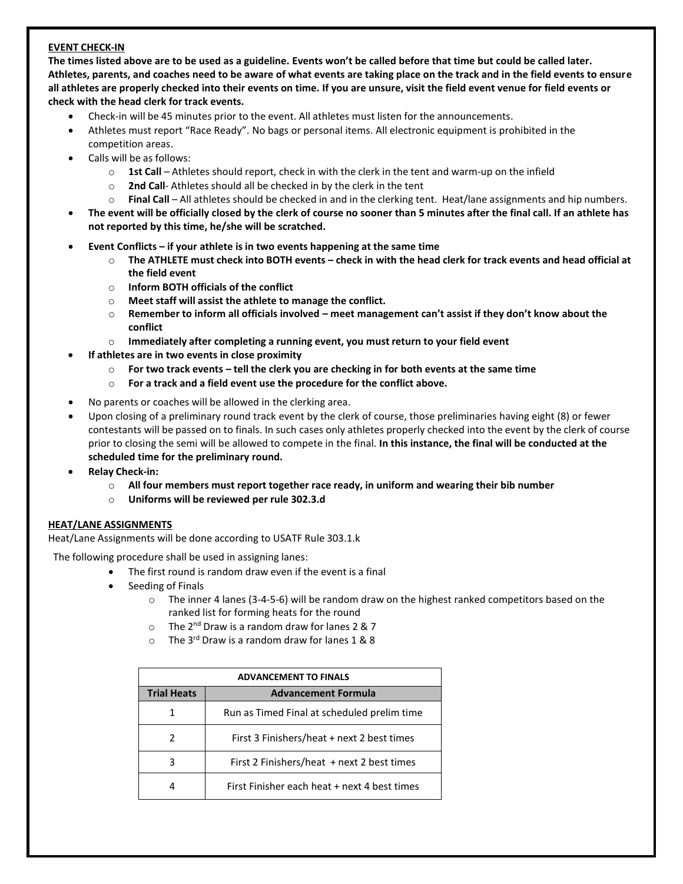## **EVENT CHECK-IN**

**The times listed above are to be used as a guideline. Events won't be called before that time but could be called later. Athletes, parents, and coaches need to be aware of what events are taking place on the track and in the field events to ensure all athletes are properly checked into their events on time. If you are unsure, visit the field event venue for field events or check with the head clerk for track events.**

- Check-in will be 45 minutes prior to the event. All athletes must listen for the announcements.
- Athletes must report "Race Ready". No bags or personal items. All electronic equipment is prohibited in the competition areas.
- Calls will be as follows:
	- o **1st Call** Athletes should report, check in with the clerk in the tent and warm-up on the infield
	- o **2nd Call** Athletes should all be checked in by the clerk in the tent
	- o **Final Call** All athletes should be checked in and in the clerking tent. Heat/lane assignments and hip numbers.
- **The event will be officially closed by the clerk of course no sooner than 5 minutes after the final call. If an athlete has not reported by this time, he/she will be scratched.**
- **Event Conflicts – if your athlete is in two events happening at the same time**
	- $\circ$  The ATHLETE must check into BOTH events check in with the head clerk for track events and head official at **the field event**
	- o **Inform BOTH officials of the conflict**
	- o **Meet staff will assist the athlete to manage the conflict.**
	- o **Remember to inform all officials involved – meet management can't assist if they don't know about the conflict**
	- o **Immediately after completing a running event, you must return to your field event**
- **If athletes are in two events in close proximity**
	- $\circ$  For two track events tell the clerk you are checking in for both events at the same time
	- o **For a track and a field event use the procedure for the conflict above.**
- No parents or coaches will be allowed in the clerking area.
- Upon closing of a preliminary round track event by the clerk of course, those preliminaries having eight (8) or fewer contestants will be passed on to finals. In such cases only athletes properly checked into the event by the clerk of course prior to closing the semi will be allowed to compete in the final. **In this instance, the final will be conducted at the scheduled time for the preliminary round.**
- **Relay Check-in:**
	- o **All four members must report together race ready, in uniform and wearing their bib number**
	- o **Uniforms will be reviewed per rule 302.3.d**

## **HEAT/LANE ASSIGNMENTS**

Heat/Lane Assignments will be done according to USATF Rule 303.1.k

The following procedure shall be used in assigning lanes:

- The first round is random draw even if the event is a final
- Seeding of Finals
	- $\circ$  The inner 4 lanes (3-4-5-6) will be random draw on the highest ranked competitors based on the ranked list for forming heats for the round
	- $\circ$  The 2<sup>nd</sup> Draw is a random draw for lanes 2 & 7
	- $\circ$  The 3<sup>rd</sup> Draw is a random draw for lanes 1 & 8

| <b>ADVANCEMENT TO FINALS</b> |                                              |  |  |  |  |  |  |
|------------------------------|----------------------------------------------|--|--|--|--|--|--|
| <b>Trial Heats</b>           | <b>Advancement Formula</b>                   |  |  |  |  |  |  |
|                              | Run as Timed Final at scheduled prelim time  |  |  |  |  |  |  |
| 2                            | First 3 Finishers/heat + next 2 best times   |  |  |  |  |  |  |
| 3                            | First 2 Finishers/heat $+$ next 2 best times |  |  |  |  |  |  |
|                              | First Finisher each heat + next 4 best times |  |  |  |  |  |  |